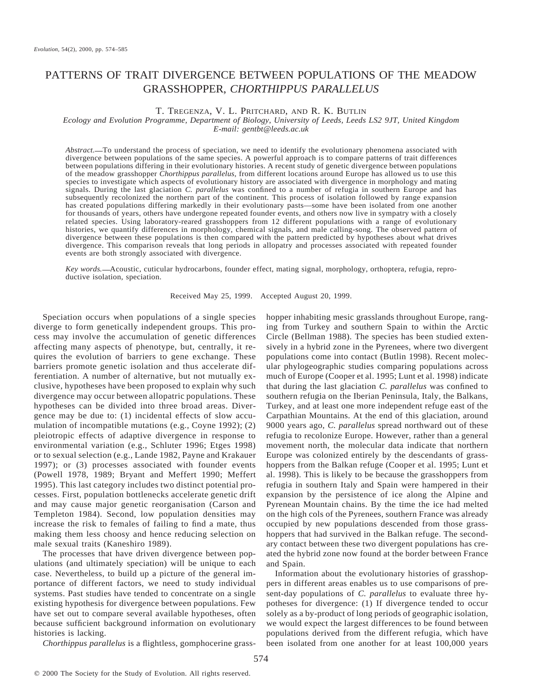# PATTERNS OF TRAIT DIVERGENCE BETWEEN POPULATIONS OF THE MEADOW GRASSHOPPER, *CHORTHIPPUS PARALLELUS*

# T. TREGENZA, V. L. PRITCHARD, AND R. K. BUTLIN

*Ecology and Evolution Programme, Department of Biology, University of Leeds, Leeds LS2 9JT, United Kingdom E-mail: gentbt@leeds.ac.uk*

*Abstract.* To understand the process of speciation, we need to identify the evolutionary phenomena associated with divergence between populations of the same species. A powerful approach is to compare patterns of trait differences between populations differing in their evolutionary histories. A recent study of genetic divergence between populations of the meadow grasshopper *Chorthippus parallelus,* from different locations around Europe has allowed us to use this species to investigate which aspects of evolutionary history are associated with divergence in morphology and mating signals. During the last glaciation *C. parallelus* was confined to a number of refugia in southern Europe and has subsequently recolonized the northern part of the continent. This process of isolation followed by range expansion has created populations differing markedly in their evolutionary pasts—some have been isolated from one another for thousands of years, others have undergone repeated founder events, and others now live in sympatry with a closely related species. Using laboratory-reared grasshoppers from 12 different populations with a range of evolutionary histories, we quantify differences in morphology, chemical signals, and male calling-song. The observed pattern of divergence between these populations is then compared with the pattern predicted by hypotheses about what drives divergence. This comparison reveals that long periods in allopatry and processes associated with repeated founder events are both strongly associated with divergence.

*Key words.* Acoustic, cuticular hydrocarbons, founder effect, mating signal, morphology, orthoptera, refugia, reproductive isolation, speciation.

Received May 25, 1999. Accepted August 20, 1999.

Speciation occurs when populations of a single species diverge to form genetically independent groups. This process may involve the accumulation of genetic differences affecting many aspects of phenotype, but, centrally, it requires the evolution of barriers to gene exchange. These barriers promote genetic isolation and thus accelerate differentiation. A number of alternative, but not mutually exclusive, hypotheses have been proposed to explain why such divergence may occur between allopatric populations. These hypotheses can be divided into three broad areas. Divergence may be due to: (1) incidental effects of slow accumulation of incompatible mutations (e.g., Coyne 1992); (2) pleiotropic effects of adaptive divergence in response to environmental variation (e.g., Schluter 1996; Etges 1998) or to sexual selection (e.g., Lande 1982, Payne and Krakauer 1997); or (3) processes associated with founder events (Powell 1978, 1989; Bryant and Meffert 1990; Meffert 1995). This last category includes two distinct potential processes. First, population bottlenecks accelerate genetic drift and may cause major genetic reorganisation (Carson and Templeton 1984). Second, low population densities may increase the risk to females of failing to find a mate, thus making them less choosy and hence reducing selection on male sexual traits (Kaneshiro 1989).

The processes that have driven divergence between populations (and ultimately speciation) will be unique to each case. Nevertheless, to build up a picture of the general importance of different factors, we need to study individual systems. Past studies have tended to concentrate on a single existing hypothesis for divergence between populations. Few have set out to compare several available hypotheses, often because sufficient background information on evolutionary histories is lacking.

*Chorthippus parallelus* is a flightless, gomphocerine grass-

hopper inhabiting mesic grasslands throughout Europe, ranging from Turkey and southern Spain to within the Arctic Circle (Bellman 1988). The species has been studied extensively in a hybrid zone in the Pyrenees, where two divergent populations come into contact (Butlin 1998). Recent molecular phylogeographic studies comparing populations across much of Europe (Cooper et al. 1995; Lunt et al. 1998) indicate that during the last glaciation *C. parallelus* was confined to southern refugia on the Iberian Peninsula, Italy, the Balkans, Turkey, and at least one more independent refuge east of the Carpathian Mountains. At the end of this glaciation, around 9000 years ago, *C. parallelus* spread northward out of these refugia to recolonize Europe. However, rather than a general movement north, the molecular data indicate that northern Europe was colonized entirely by the descendants of grasshoppers from the Balkan refuge (Cooper et al. 1995; Lunt et al. 1998). This is likely to be because the grasshoppers from refugia in southern Italy and Spain were hampered in their expansion by the persistence of ice along the Alpine and Pyrenean Mountain chains. By the time the ice had melted on the high cols of the Pyrenees, southern France was already occupied by new populations descended from those grasshoppers that had survived in the Balkan refuge. The secondary contact between these two divergent populations has created the hybrid zone now found at the border between France and Spain.

Information about the evolutionary histories of grasshoppers in different areas enables us to use comparisons of present-day populations of *C. parallelus* to evaluate three hypotheses for divergence: (1) If divergence tended to occur solely as a by-product of long periods of geographic isolation, we would expect the largest differences to be found between populations derived from the different refugia, which have been isolated from one another for at least 100,000 years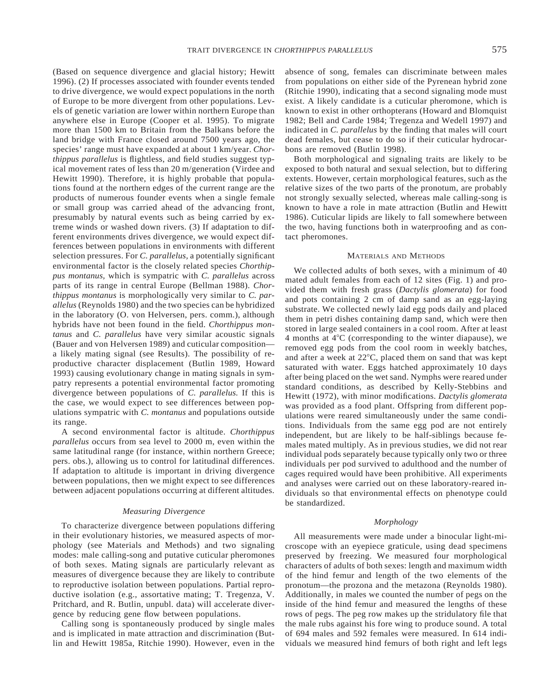(Based on sequence divergence and glacial history; Hewitt 1996). (2) If processes associated with founder events tended to drive divergence, we would expect populations in the north of Europe to be more divergent from other populations. Levels of genetic variation are lower within northern Europe than anywhere else in Europe (Cooper et al. 1995). To migrate more than 1500 km to Britain from the Balkans before the land bridge with France closed around 7500 years ago, the species' range must have expanded at about 1 km/year. *Chorthippus parallelus* is flightless, and field studies suggest typical movement rates of less than 20 m/generation (Virdee and Hewitt 1990). Therefore, it is highly probable that populations found at the northern edges of the current range are the products of numerous founder events when a single female or small group was carried ahead of the advancing front, presumably by natural events such as being carried by extreme winds or washed down rivers. (3) If adaptation to different environments drives divergence, we would expect differences between populations in environments with different selection pressures. For *C. parallelus,* a potentially significant environmental factor is the closely related species *Chorthippus montanus,* which is sympatric with *C. parallelus* across parts of its range in central Europe (Bellman 1988). *Chorthippus montanus* is morphologically very similar to *C. parallelus* (Reynolds 1980) and the two species can be hybridized in the laboratory (O. von Helversen, pers. comm.), although hybrids have not been found in the field. *Chorthippus montanus* and *C. parallelus* have very similar acoustic signals (Bauer and von Helversen 1989) and cuticular composition a likely mating signal (see Results). The possibility of reproductive character displacement (Butlin 1989, Howard 1993) causing evolutionary change in mating signals in sympatry represents a potential environmental factor promoting divergence between populations of *C. parallelus.* If this is the case, we would expect to see differences between populations sympatric with *C. montanus* and populations outside its range.

A second environmental factor is altitude. *Chorthippus parallelus* occurs from sea level to 2000 m, even within the same latitudinal range (for instance, within northern Greece; pers. obs.), allowing us to control for latitudinal differences. If adaptation to altitude is important in driving divergence between populations, then we might expect to see differences between adjacent populations occurring at different altitudes.

### *Measuring Divergence*

To characterize divergence between populations differing in their evolutionary histories, we measured aspects of morphology (see Materials and Methods) and two signaling modes: male calling-song and putative cuticular pheromones of both sexes. Mating signals are particularly relevant as measures of divergence because they are likely to contribute to reproductive isolation between populations. Partial reproductive isolation (e.g., assortative mating; T. Tregenza, V. Pritchard, and R. Butlin, unpubl. data) will accelerate divergence by reducing gene flow between populations.

Calling song is spontaneously produced by single males and is implicated in mate attraction and discrimination (Butlin and Hewitt 1985a, Ritchie 1990). However, even in the absence of song, females can discriminate between males from populations on either side of the Pyrenean hybrid zone (Ritchie 1990), indicating that a second signaling mode must exist. A likely candidate is a cuticular pheromone, which is known to exist in other orthopterans (Howard and Blomquist 1982; Bell and Carde 1984; Tregenza and Wedell 1997) and indicated in *C. parallelus* by the finding that males will court dead females, but cease to do so if their cuticular hydrocarbons are removed (Butlin 1998).

Both morphological and signaling traits are likely to be exposed to both natural and sexual selection, but to differing extents. However, certain morphological features, such as the relative sizes of the two parts of the pronotum, are probably not strongly sexually selected, whereas male calling-song is known to have a role in mate attraction (Butlin and Hewitt 1986). Cuticular lipids are likely to fall somewhere between the two, having functions both in waterproofing and as contact pheromones.

### MATERIALS AND METHODS

We collected adults of both sexes, with a minimum of 40 mated adult females from each of 12 sites (Fig. 1) and provided them with fresh grass (*Dactylis glomerata*) for food and pots containing 2 cm of damp sand as an egg-laying substrate. We collected newly laid egg pods daily and placed them in petri dishes containing damp sand, which were then stored in large sealed containers in a cool room. After at least 4 months at  $4^{\circ}$ C (corresponding to the winter diapause), we removed egg pods from the cool room in weekly batches, and after a week at  $22^{\circ}$ C, placed them on sand that was kept saturated with water. Eggs hatched approximately 10 days after being placed on the wet sand. Nymphs were reared under standard conditions, as described by Kelly-Stebbins and Hewitt (1972), with minor modifications. *Dactylis glomerata* was provided as a food plant. Offspring from different populations were reared simultaneously under the same conditions. Individuals from the same egg pod are not entirely independent, but are likely to be half-siblings because females mated multiply. As in previous studies, we did not rear individual pods separately because typically only two or three individuals per pod survived to adulthood and the number of cages required would have been prohibitive. All experiments and analyses were carried out on these laboratory-reared individuals so that environmental effects on phenotype could be standardized.

#### *Morphology*

All measurements were made under a binocular light-microscope with an eyepiece graticule, using dead specimens preserved by freezing. We measured four morphological characters of adults of both sexes: length and maximum width of the hind femur and length of the two elements of the pronotum—the prozona and the metazona (Reynolds 1980). Additionally, in males we counted the number of pegs on the inside of the hind femur and measured the lengths of these rows of pegs. The peg row makes up the stridulatory file that the male rubs against his fore wing to produce sound. A total of 694 males and 592 females were measured. In 614 individuals we measured hind femurs of both right and left legs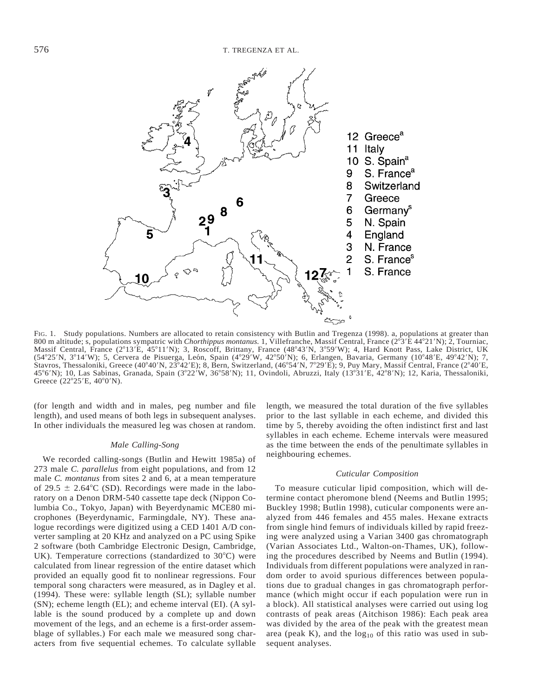

FIG. 1. Study populations. Numbers are allocated to retain consistency with Butlin and Tregenza (1998). a, populations at greater than 800 m altitude; s, populations sympatric with *Chorthippus montanus.* 1, Villefranche, Massif Central, France (2°3'E 44°21'N); 2, Tourniac, Massif Central, France (2°13'E, 45°11'N); 3, Roscoff, Brittany, France (48°43'N, 3°59'W); 4, Hard Knott Pass, Lake District, UK  $(54^{\circ}25'N, 3^{\circ}14'W);$  5, Cervera de Pisuerga, León, Spain (4°29'W, 42°50'N); 6, Erlangen, Bavaria, Germany (10°48'E, 49°42'N); 7, Stavros, Thessaloniki, Greece (40°40'N, 23°42'E); 8, Bern, Switzerland, (46°54'N, 7°29'E); 9, Puy Mary, Massif Central, France (2°40'E, 45°6'N); 10, Las Sabinas, Granada, Spain (3°22'W, 36°58'N); 11, Ovindoli, Abruzzi, Italy (13°31'E, 42°8'N); 12, Karia, Thessaloniki, Greece (22°25'E, 40°0'N).

(for length and width and in males, peg number and file length), and used means of both legs in subsequent analyses. In other individuals the measured leg was chosen at random.

## *Male Calling-Song*

We recorded calling-songs (Butlin and Hewitt 1985a) of 273 male *C. parallelus* from eight populations, and from 12 male *C. montanus* from sites 2 and 6, at a mean temperature of 29.5  $\pm$  2.64°C (SD). Recordings were made in the laboratory on a Denon DRM-540 cassette tape deck (Nippon Columbia Co., Tokyo, Japan) with Beyerdynamic MCE80 microphones (Beyerdynamic, Farmingdale, NY). These analogue recordings were digitized using a CED 1401 A/D converter sampling at 20 KHz and analyzed on a PC using Spike 2 software (both Cambridge Electronic Design, Cambridge, UK). Temperature corrections (standardized to  $30^{\circ}$ C) were calculated from linear regression of the entire dataset which provided an equally good fit to nonlinear regressions. Four temporal song characters were measured, as in Dagley et al. (1994). These were: syllable length (SL); syllable number (SN); echeme length (EL); and echeme interval (EI). (A syllable is the sound produced by a complete up and down movement of the legs, and an echeme is a first-order assemblage of syllables.) For each male we measured song characters from five sequential echemes. To calculate syllable length, we measured the total duration of the five syllables prior to the last syllable in each echeme, and divided this time by 5, thereby avoiding the often indistinct first and last syllables in each echeme. Echeme intervals were measured as the time between the ends of the penultimate syllables in neighbouring echemes.

#### *Cuticular Composition*

To measure cuticular lipid composition, which will determine contact pheromone blend (Neems and Butlin 1995; Buckley 1998; Butlin 1998), cuticular components were analyzed from 446 females and 455 males. Hexane extracts from single hind femurs of individuals killed by rapid freezing were analyzed using a Varian 3400 gas chromatograph (Varian Associates Ltd., Walton-on-Thames, UK), following the procedures described by Neems and Butlin (1994). Individuals from different populations were analyzed in random order to avoid spurious differences between populations due to gradual changes in gas chromatograph performance (which might occur if each population were run in a block). All statistical analyses were carried out using log contrasts of peak areas (Aitchison 1986): Each peak area was divided by the area of the peak with the greatest mean area (peak K), and the  $log_{10}$  of this ratio was used in subsequent analyses.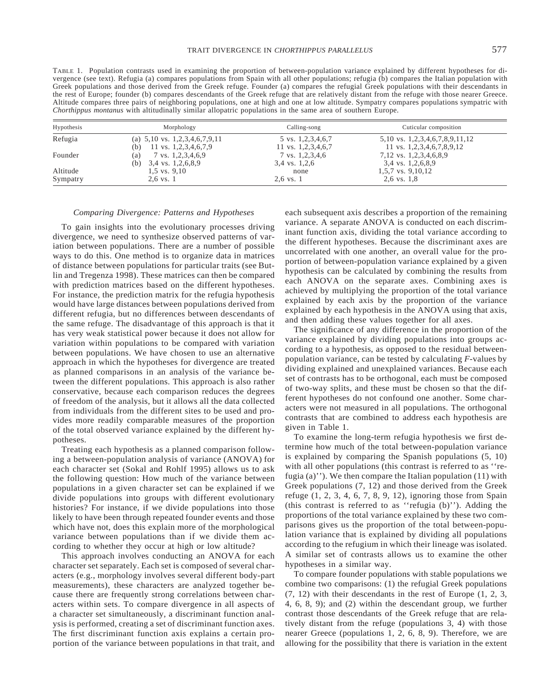TABLE 1. Population contrasts used in examining the proportion of between-population variance explained by different hypotheses for divergence (see text). Refugia (a) compares populations from Spain with all other populations; refugia (b) compares the Italian population with Greek populations and those derived from the Greek refuge. Founder (a) compares the refugial Greek populations with their descendants in the rest of Europe; founder (b) compares descendants of the Greek refuge that are relatively distant from the refuge with those nearer Greece. Altitude compares three pairs of neighboring populations, one at high and one at low altitude. Sympatry compares populations sympatric with *Chorthippus montanus* with altitudinally similar allopatric populations in the same area of southern Europe.

| Hypothesis           | Morphology                                                         | Calling-song                                    | Cuticular composition                                         |
|----------------------|--------------------------------------------------------------------|-------------------------------------------------|---------------------------------------------------------------|
| Refugia              | (a) $5,10$ vs. $1,2,3,4,6,7,9,11$<br>11 vs. $1,2,3,4,6,7,9$<br>(b) | 5 vs. 1,2,3,4,6,7<br>11 vs. 1,2,3,4,6,7         | 5,10 vs. 1,2,3,4,6,7,8,9,11,12<br>11 vs. $1,2,3,4,6,7,8,9,12$ |
| Founder              | 7 vs. 1,2,3,4,6,9<br>(a)<br>3.4 vs. 1.2.6.8.9<br>(b)               | $7 \text{ vs. } 1,2,3,4,6$<br>$3,4$ vs. $1,2,6$ | 7,12 vs. 1,2,3,4,6,8,9<br>$3,4$ vs. $1,2,6,8,9$               |
| Altitude<br>Sympatry | $1.5$ vs. $9.10$<br>$2,6$ vs. 1                                    | none<br>$2.6$ vs. 1                             | $1,5,7$ vs. $9,10,12$<br>$2,6$ vs. 1,8                        |

### *Comparing Divergence: Patterns and Hypotheses*

To gain insights into the evolutionary processes driving divergence, we need to synthesize observed patterns of variation between populations. There are a number of possible ways to do this. One method is to organize data in matrices of distance between populations for particular traits (see Butlin and Tregenza 1998). These matrices can then be compared with prediction matrices based on the different hypotheses. For instance, the prediction matrix for the refugia hypothesis would have large distances between populations derived from different refugia, but no differences between descendants of the same refuge. The disadvantage of this approach is that it has very weak statistical power because it does not allow for variation within populations to be compared with variation between populations. We have chosen to use an alternative approach in which the hypotheses for divergence are treated as planned comparisons in an analysis of the variance between the different populations. This approach is also rather conservative, because each comparison reduces the degrees of freedom of the analysis, but it allows all the data collected from individuals from the different sites to be used and provides more readily comparable measures of the proportion of the total observed variance explained by the different hypotheses.

Treating each hypothesis as a planned comparison following a between-population analysis of variance (ANOVA) for each character set (Sokal and Rohlf 1995) allows us to ask the following question: How much of the variance between populations in a given character set can be explained if we divide populations into groups with different evolutionary histories? For instance, if we divide populations into those likely to have been through repeated founder events and those which have not, does this explain more of the morphological variance between populations than if we divide them according to whether they occur at high or low altitude?

This approach involves conducting an ANOVA for each character set separately. Each set is composed of several characters (e.g., morphology involves several different body-part measurements), these characters are analyzed together because there are frequently strong correlations between characters within sets. To compare divergence in all aspects of a character set simultaneously, a discriminant function analysis is performed, creating a set of discriminant function axes. The first discriminant function axis explains a certain proportion of the variance between populations in that trait, and

each subsequent axis describes a proportion of the remaining variance. A separate ANOVA is conducted on each discriminant function axis, dividing the total variance according to the different hypotheses. Because the discriminant axes are uncorrelated with one another, an overall value for the proportion of between-population variance explained by a given hypothesis can be calculated by combining the results from each ANOVA on the separate axes. Combining axes is achieved by multiplying the proportion of the total variance explained by each axis by the proportion of the variance explained by each hypothesis in the ANOVA using that axis, and then adding these values together for all axes.

The significance of any difference in the proportion of the variance explained by dividing populations into groups according to a hypothesis, as opposed to the residual betweenpopulation variance, can be tested by calculating *F*-values by dividing explained and unexplained variances. Because each set of contrasts has to be orthogonal, each must be composed of two-way splits, and these must be chosen so that the different hypotheses do not confound one another. Some characters were not measured in all populations. The orthogonal contrasts that are combined to address each hypothesis are given in Table 1.

To examine the long-term refugia hypothesis we first determine how much of the total between-population variance is explained by comparing the Spanish populations (5, 10) with all other populations (this contrast is referred to as ''refugia  $(a)$ "). We then compare the Italian population  $(11)$  with Greek populations (7, 12) and those derived from the Greek refuge (1, 2, 3, 4, 6, 7, 8, 9, 12), ignoring those from Spain (this contrast is referred to as ''refugia (b)''). Adding the proportions of the total variance explained by these two comparisons gives us the proportion of the total between-population variance that is explained by dividing all populations according to the refugium in which their lineage was isolated. A similar set of contrasts allows us to examine the other hypotheses in a similar way.

To compare founder populations with stable populations we combine two comparisons: (1) the refugial Greek populations (7, 12) with their descendants in the rest of Europe (1, 2, 3, 4, 6, 8, 9); and (2) within the descendant group, we further contrast those descendants of the Greek refuge that are relatively distant from the refuge (populations 3, 4) with those nearer Greece (populations 1, 2, 6, 8, 9). Therefore, we are allowing for the possibility that there is variation in the extent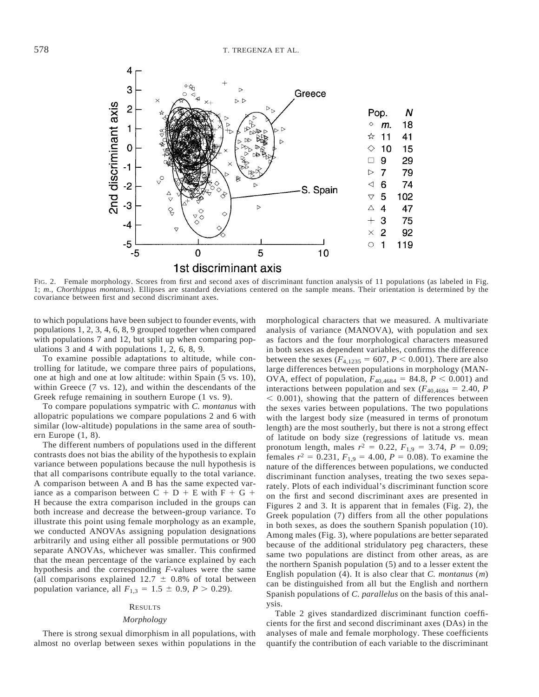

FIG. 2. Female morphology. Scores from first and second axes of discriminant function analysis of 11 populations (as labeled in Fig. 1; *m., Chorthippus montanus*). Ellipses are standard deviations centered on the sample means. Their orientation is determined by the covariance between first and second discriminant axes.

to which populations have been subject to founder events, with populations 1, 2, 3, 4, 6, 8, 9 grouped together when compared with populations 7 and 12, but split up when comparing populations 3 and 4 with populations 1, 2, 6, 8, 9.

To examine possible adaptations to altitude, while controlling for latitude, we compare three pairs of populations, one at high and one at low altitude: within Spain (5 vs. 10), within Greece (7 vs. 12), and within the descendants of the Greek refuge remaining in southern Europe (1 vs. 9).

To compare populations sympatric with *C. montanus* with allopatric populations we compare populations 2 and 6 with similar (low-altitude) populations in the same area of southern Europe (1, 8).

The different numbers of populations used in the different contrasts does not bias the ability of the hypothesis to explain variance between populations because the null hypothesis is that all comparisons contribute equally to the total variance. A comparison between A and B has the same expected variance as a comparison between  $C + D + E$  with  $F + G +$ H because the extra comparison included in the groups can both increase and decrease the between-group variance. To illustrate this point using female morphology as an example, we conducted ANOVAs assigning population designations arbitrarily and using either all possible permutations or 900 separate ANOVAs, whichever was smaller. This confirmed that the mean percentage of the variance explained by each hypothesis and the corresponding *F*-values were the same (all comparisons explained 12.7  $\pm$  0.8% of total between population variance, all  $F_{1,3} = 1.5 \pm 0.9$ ,  $P > 0.29$ ).

#### RESULTS

#### *Morphology*

There is strong sexual dimorphism in all populations, with almost no overlap between sexes within populations in the

morphological characters that we measured. A multivariate analysis of variance (MANOVA), with population and sex as factors and the four morphological characters measured in both sexes as dependent variables, confirms the difference between the sexes ( $F_{4,1235} = 607$ ,  $P < 0.001$ ). There are also large differences between populations in morphology (MAN-OVA, effect of population,  $F_{40,4684} = 84.8, P < 0.001$  and interactions between population and sex ( $F_{40,4684} = 2.40$ , *P*  $<$  0.001), showing that the pattern of differences between the sexes varies between populations. The two populations with the largest body size (measured in terms of pronotum length) are the most southerly, but there is not a strong effect of latitude on body size (regressions of latitude vs. mean pronotum length, males  $r^2 = 0.22$ ,  $F_{1,9} = 3.74$ ,  $P = 0.09$ ; females  $r^2 = 0.231$ ,  $F_{1,9} = 4.00$ ,  $P = 0.08$ ). To examine the nature of the differences between populations, we conducted discriminant function analyses, treating the two sexes separately. Plots of each individual's discriminant function score on the first and second discriminant axes are presented in Figures 2 and 3. It is apparent that in females (Fig. 2), the Greek population (7) differs from all the other populations in both sexes, as does the southern Spanish population (10). Among males (Fig. 3), where populations are better separated because of the additional stridulatory peg characters, these same two populations are distinct from other areas, as are the northern Spanish population (5) and to a lesser extent the English population (4). It is also clear that *C. montanus* (*m*) can be distinguished from all but the English and northern Spanish populations of *C. parallelus* on the basis of this analysis.

Table 2 gives standardized discriminant function coefficients for the first and second discriminant axes (DAs) in the analyses of male and female morphology. These coefficients quantify the contribution of each variable to the discriminant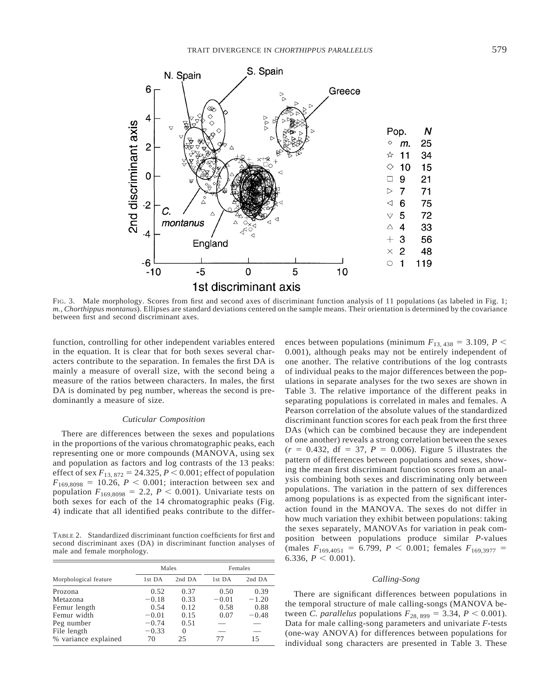

FIG. 3. Male morphology. Scores from first and second axes of discriminant function analysis of 11 populations (as labeled in Fig. 1; *m., Chorthippus montanus*). Ellipses are standard deviations centered on the sample means. Their orientation is determined by the covariance between first and second discriminant axes.

function, controlling for other independent variables entered in the equation. It is clear that for both sexes several characters contribute to the separation. In females the first DA is mainly a measure of overall size, with the second being a measure of the ratios between characters. In males, the first DA is dominated by peg number, whereas the second is predominantly a measure of size.

### *Cuticular Composition*

There are differences between the sexes and populations in the proportions of the various chromatographic peaks, each representing one or more compounds (MANOVA, using sex and population as factors and log contrasts of the 13 peaks: effect of sex  $F_{13, 872} = 24.325, P < 0.001$ ; effect of population  $F_{169,8098} = 10.26, P < 0.001$ ; interaction between sex and population  $F_{169,8098} = 2.2, P < 0.001$ ). Univariate tests on both sexes for each of the 14 chromatographic peaks (Fig. 4) indicate that all identified peaks contribute to the differ-

TABLE 2. Standardized discriminant function coefficients for first and second discriminant axes (DA) in discriminant function analyses of male and female morphology.

|                       | Males   |          |         | Females |
|-----------------------|---------|----------|---------|---------|
| Morphological feature | 1st DA  | 2nd DA   | 1st DA  | 2nd DA  |
| Prozona               | 0.52    | 0.37     | 0.50    | 0.39    |
| Metazona              | $-0.18$ | 0.33     | $-0.01$ | $-1.20$ |
| Femur length          | 0.54    | 0.12     | 0.58    | 0.88    |
| Femur width           | $-0.01$ | 0.15     | 0.07    | $-0.48$ |
| Peg number            | $-0.74$ | 0.51     |         |         |
| File length           | $-0.33$ | $\Omega$ | ___     | ___     |
| % variance explained  | 70      | 25       | 77      | 15      |

ences between populations (minimum  $F_{13,438} = 3.109$ ,  $P <$ 0.001), although peaks may not be entirely independent of one another. The relative contributions of the log contrasts of individual peaks to the major differences between the populations in separate analyses for the two sexes are shown in Table 3. The relative importance of the different peaks in separating populations is correlated in males and females. A Pearson correlation of the absolute values of the standardized discriminant function scores for each peak from the first three DAs (which can be combined because they are independent of one another) reveals a strong correlation between the sexes  $(r = 0.432, df = 37, P = 0.006)$ . Figure 5 illustrates the pattern of differences between populations and sexes, showing the mean first discriminant function scores from an analysis combining both sexes and discriminating only between populations. The variation in the pattern of sex differences among populations is as expected from the significant interaction found in the MANOVA. The sexes do not differ in how much variation they exhibit between populations: taking the sexes separately, MANOVAs for variation in peak composition between populations produce similar *P*-values  $(males F<sub>169,4051</sub> = 6.799, P < 0.001; females F<sub>169,3977</sub> =$ 6.336,  $P < 0.001$ ).

### *Calling-Song*

There are significant differences between populations in the temporal structure of male calling-songs (MANOVA between *C. parallelus* populations  $F_{28, 899} = 3.34, P < 0.001$ . Data for male calling-song parameters and univariate *F*-tests (one-way ANOVA) for differences between populations for individual song characters are presented in Table 3. These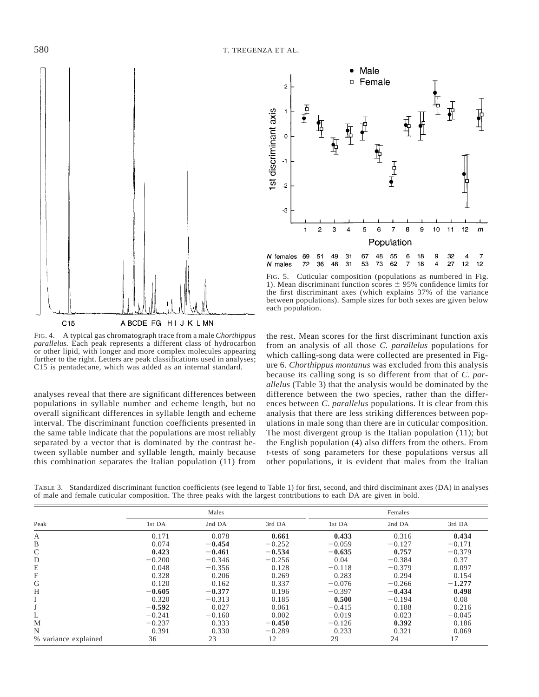

FIG. 4. A typical gas chromatograph trace from a male *Chorthippus parallelus.* Each peak represents a different class of hydrocarbon or other lipid, with longer and more complex molecules appearing further to the right. Letters are peak classifications used in analyses; C15 is pentadecane, which was added as an internal standard.

analyses reveal that there are significant differences between populations in syllable number and echeme length, but no overall significant differences in syllable length and echeme interval. The discriminant function coefficients presented in the same table indicate that the populations are most reliably separated by a vector that is dominated by the contrast between syllable number and syllable length, mainly because this combination separates the Italian population (11) from



FIG. 5. Cuticular composition (populations as numbered in Fig. 1). Mean discriminant function scores  $\pm$  95% confidence limits for the first discriminant axes (which explains 37% of the variance between populations). Sample sizes for both sexes are given below each population.

the rest. Mean scores for the first discriminant function axis from an analysis of all those *C. parallelus* populations for which calling-song data were collected are presented in Figure 6. *Chorthippus montanus* was excluded from this analysis because its calling song is so different from that of *C. parallelus* (Table 3) that the analysis would be dominated by the difference between the two species, rather than the differences between *C. parallelus* populations. It is clear from this analysis that there are less striking differences between populations in male song than there are in cuticular composition. The most divergent group is the Italian population (11); but the English population (4) also differs from the others. From *t*-tests of song parameters for these populations versus all other populations, it is evident that males from the Italian

TABLE 3. Standardized discriminant function coefficients (see legend to Table 1) for first, second, and third disciminant axes (DA) in analyses of male and female cuticular composition. The three peaks with the largest contributions to each DA are given in bold.

|                      |          | Males    |          | Females  |          |          |  |
|----------------------|----------|----------|----------|----------|----------|----------|--|
| Peak                 | 1st DA   | 2nd DA   | 3rd DA   | 1st DA   | 2nd DA   | 3rd DA   |  |
| A                    | 0.171    | 0.078    | 0.661    | 0.433    | 0.316    | 0.434    |  |
| B                    | 0.074    | $-0.454$ | $-0.252$ | $-0.059$ | $-0.127$ | $-0.171$ |  |
| C                    | 0.423    | $-0.461$ | $-0.534$ | $-0.635$ | 0.757    | $-0.379$ |  |
| D                    | $-0.200$ | $-0.346$ | $-0.256$ | 0.04     | $-0.384$ | 0.37     |  |
| E                    | 0.048    | $-0.356$ | 0.128    | $-0.118$ | $-0.379$ | 0.097    |  |
| F                    | 0.328    | 0.206    | 0.269    | 0.283    | 0.294    | 0.154    |  |
| G                    | 0.120    | 0.162    | 0.337    | $-0.076$ | $-0.266$ | $-1,277$ |  |
| Н                    | $-0.605$ | $-0.377$ | 0.196    | $-0.397$ | $-0.434$ | 0.498    |  |
|                      | 0.320    | $-0.313$ | 0.185    | 0.500    | $-0.194$ | 0.08     |  |
|                      | $-0.592$ | 0.027    | 0.061    | $-0.415$ | 0.188    | 0.216    |  |
| L                    | $-0.241$ | $-0.160$ | 0.002    | 0.019    | 0.023    | $-0.045$ |  |
| М                    | $-0.237$ | 0.333    | $-0.450$ | $-0.126$ | 0.392    | 0.186    |  |
| N                    | 0.391    | 0.330    | $-0.289$ | 0.233    | 0.321    | 0.069    |  |
| % variance explained | 36       | 23       | 12       | 29       | 24       | 17       |  |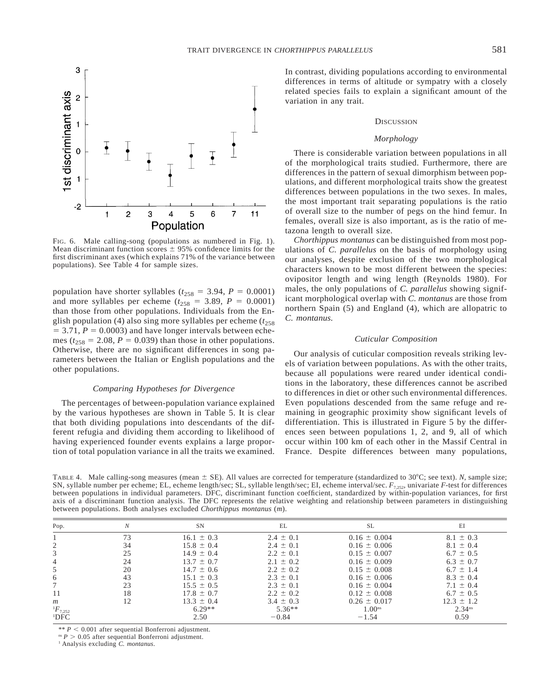

FIG. 6. Male calling-song (populations as numbered in Fig. 1). Mean discriminant function scores  $\pm$  95% confidence limits for the first discriminant axes (which explains 71% of the variance between populations). See Table 4 for sample sizes.

population have shorter syllables ( $t_{258}$  = 3.94,  $P = 0.0001$ ) and more syllables per echeme ( $t_{258} = 3.89$ ,  $P = 0.0001$ ) than those from other populations. Individuals from the English population (4) also sing more syllables per echeme  $(t_{258})$  $= 3.71, P = 0.0003$ ) and have longer intervals between echemes ( $t_{258}$  = 2.08,  $P = 0.039$ ) than those in other populations. Otherwise, there are no significant differences in song parameters between the Italian or English populations and the other populations.

#### *Comparing Hypotheses for Divergence*

The percentages of between-population variance explained by the various hypotheses are shown in Table 5. It is clear that both dividing populations into descendants of the different refugia and dividing them according to likelihood of having experienced founder events explains a large proportion of total population variance in all the traits we examined.

In contrast, dividing populations according to environmental differences in terms of altitude or sympatry with a closely related species fails to explain a significant amount of the variation in any trait.

#### **DISCUSSION**

#### *Morphology*

There is considerable variation between populations in all of the morphological traits studied. Furthermore, there are differences in the pattern of sexual dimorphism between populations, and different morphological traits show the greatest differences between populations in the two sexes. In males, the most important trait separating populations is the ratio of overall size to the number of pegs on the hind femur. In females, overall size is also important, as is the ratio of metazona length to overall size.

*Chorthippus montanus* can be distinguished from most populations of *C. parallelus* on the basis of morphology using our analyses, despite exclusion of the two morphological characters known to be most different between the species: ovipositor length and wing length (Reynolds 1980). For males, the only populations of *C. parallelus* showing significant morphological overlap with *C. montanus* are those from northern Spain (5) and England (4), which are allopatric to *C. montanus.*

### *Cuticular Composition*

Our analysis of cuticular composition reveals striking levels of variation between populations. As with the other traits, because all populations were reared under identical conditions in the laboratory, these differences cannot be ascribed to differences in diet or other such environmental differences. Even populations descended from the same refuge and remaining in geographic proximity show significant levels of differentiation. This is illustrated in Figure 5 by the differences seen between populations 1, 2, and 9, all of which occur within 100 km of each other in the Massif Central in France. Despite differences between many populations,

TABLE 4. Male calling-song measures (mean  $\pm$  SE). All values are corrected for temperature (standardized to 30°C; see text). *N*, sample size; SN, syllable number per echeme; EL, echeme length/sec; SL, syllable length/sec; EI, echeme interval/sec.  $F_{7,252}$ , univariate  $F$ -test for differences between populations in individual parameters. DFC, discriminant function coefficient, standardized by within-population variances, for first axis of a discriminant function analysis. The DFC represents the relative weighting and relationship between parameters in distinguishing between populations. Both analyses excluded *Chorthippus montanus* (*m*).

| Pop.              | N  | <b>SN</b>      | EL            | <b>SL</b>          | EI                 |
|-------------------|----|----------------|---------------|--------------------|--------------------|
|                   | 73 | $16.1 \pm 0.3$ | $2.4 \pm 0.1$ | $0.16 \pm 0.004$   | $8.1 \pm 0.3$      |
|                   | 34 | $15.8 \pm 0.4$ | $2.4 \pm 0.1$ | $0.16 \pm 0.006$   | $8.1 \pm 0.4$      |
|                   | 25 | $14.9 \pm 0.4$ | $2.2 \pm 0.1$ | $0.15 \pm 0.007$   | $6.7 \pm 0.5$      |
| 4                 | 24 | $13.7 \pm 0.7$ | $2.1 \pm 0.2$ | $0.16 \pm 0.009$   | $6.3 \pm 0.7$      |
|                   | 20 | $14.7 \pm 0.6$ | $2.2 \pm 0.2$ | $0.15 \pm 0.008$   | $6.7 \pm 1.4$      |
| 6                 | 43 | $15.1 \pm 0.3$ | $2.3 \pm 0.1$ | $0.16 \pm 0.006$   | $8.3 \pm 0.4$      |
|                   | 23 | $15.5 \pm 0.5$ | $2.3 \pm 0.1$ | $0.16 \pm 0.004$   | $7.1 \pm 0.4$      |
| 11                | 18 | $17.8 \pm 0.7$ | $2.2 \pm 0.2$ | $0.12 \pm 0.008$   | $6.7 \pm 0.5$      |
| m                 |    | $13.3 \pm 0.4$ | $3.4 \pm 0.3$ | $0.26 \pm 0.017$   | $12.3 \pm 1.2$     |
| ${}^{1}F_{7,252}$ |    | $6.29**$       | $5.36**$      | 1.00 <sub>ns</sub> | 2.34 <sup>ns</sup> |
| <sup>1</sup> DFC  |    | 2.50           | $-0.84$       | $-1.54$            | 0.59               |

 $** P < 0.001$  after sequential Bonferroni adjustment.

<sup>ns</sup>  $P > 0.05$  after sequential Bonferroni adjustment.

<sup>1</sup> Analysis excluding *C. montanus*.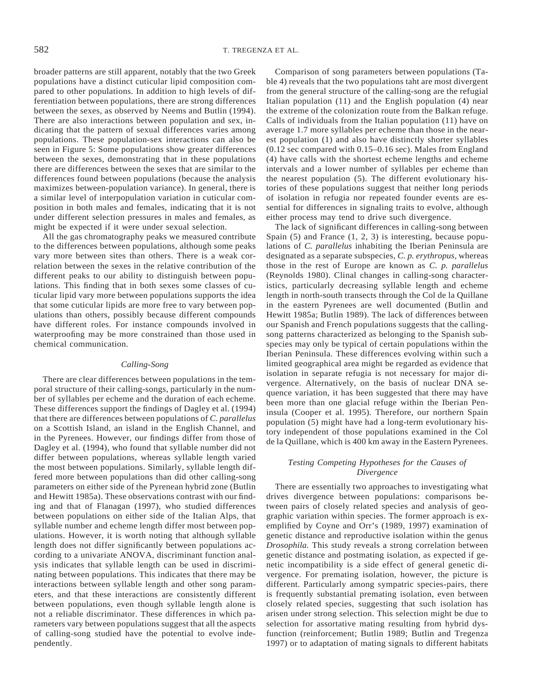broader patterns are still apparent, notably that the two Greek populations have a distinct cuticular lipid composition compared to other populations. In addition to high levels of differentiation between populations, there are strong differences between the sexes, as observed by Neems and Butlin (1994). There are also interactions between population and sex, indicating that the pattern of sexual differences varies among populations. These population-sex interactions can also be seen in Figure 5: Some populations show greater differences between the sexes, demonstrating that in these populations there are differences between the sexes that are similar to the differences found between populations (because the analysis maximizes between-population variance). In general, there is a similar level of interpopulation variation in cuticular composition in both males and females, indicating that it is not under different selection pressures in males and females, as might be expected if it were under sexual selection.

All the gas chromatography peaks we measured contribute to the differences between populations, although some peaks vary more between sites than others. There is a weak correlation between the sexes in the relative contribution of the different peaks to our ability to distinguish between populations. This finding that in both sexes some classes of cuticular lipid vary more between populations supports the idea that some cuticular lipids are more free to vary between populations than others, possibly because different compounds have different roles. For instance compounds involved in waterproofing may be more constrained than those used in chemical communication.

### *Calling-Song*

There are clear differences between populations in the temporal structure of their calling-songs, particularly in the number of syllables per echeme and the duration of each echeme. These differences support the findings of Dagley et al. (1994) that there are differences between populations of *C. parallelus* on a Scottish Island, an island in the English Channel, and in the Pyrenees. However, our findings differ from those of Dagley et al. (1994), who found that syllable number did not differ between populations, whereas syllable length varied the most between populations. Similarly, syllable length differed more between populations than did other calling-song parameters on either side of the Pyrenean hybrid zone (Butlin and Hewitt 1985a). These observations contrast with our finding and that of Flanagan (1997), who studied differences between populations on either side of the Italian Alps, that syllable number and echeme length differ most between populations. However, it is worth noting that although syllable length does not differ significantly between populations according to a univariate ANOVA, discriminant function analysis indicates that syllable length can be used in discriminating between populations. This indicates that there may be interactions between syllable length and other song parameters, and that these interactions are consistently different between populations, even though syllable length alone is not a reliable discriminator. These differences in which parameters vary between populations suggest that all the aspects of calling-song studied have the potential to evolve independently.

Comparison of song parameters between populations (Table 4) reveals that the two populations taht are most divergent from the general structure of the calling-song are the refugial Italian population (11) and the English population (4) near the extreme of the colonization route from the Balkan refuge. Calls of individuals from the Italian population (11) have on average 1.7 more syllables per echeme than those in the nearest population (1) and also have distinctly shorter syllables (0.12 sec compared with 0.15–0.16 sec). Males from England (4) have calls with the shortest echeme lengths and echeme intervals and a lower number of syllables per echeme than the nearest population (5). The different evolutionary histories of these populations suggest that neither long periods of isolation in refugia nor repeated founder events are essential for differences in signaling traits to evolve, although either process may tend to drive such divergence.

The lack of significant differences in calling-song between Spain (5) and France (1, 2, 3) is interesting, because populations of *C. parallelus* inhabiting the Iberian Peninsula are designated as a separate subspecies, *C. p. erythropus,* whereas those in the rest of Europe are known as *C. p. parallelus* (Reynolds 1980). Clinal changes in calling-song characteristics, particularly decreasing syllable length and echeme length in north-south transects through the Col de la Quillane in the eastern Pyrenees are well documented (Butlin and Hewitt 1985a; Butlin 1989). The lack of differences between our Spanish and French populations suggests that the callingsong patterns characterized as belonging to the Spanish subspecies may only be typical of certain populations within the Iberian Peninsula. These differences evolving within such a limited geographical area might be regarded as evidence that isolation in separate refugia is not necessary for major divergence. Alternatively, on the basis of nuclear DNA sequence variation, it has been suggested that there may have been more than one glacial refuge within the Iberian Peninsula (Cooper et al. 1995). Therefore, our northern Spain population (5) might have had a long-term evolutionary history independent of those populations examined in the Col de la Quillane, which is 400 km away in the Eastern Pyrenees.

### *Testing Competing Hypotheses for the Causes of Divergence*

There are essentially two approaches to investigating what drives divergence between populations: comparisons between pairs of closely related species and analysis of geographic variation within species. The former approach is exemplified by Coyne and Orr's (1989, 1997) examination of genetic distance and reproductive isolation within the genus *Drosophila.* This study reveals a strong correlation between genetic distance and postmating isolation, as expected if genetic incompatibility is a side effect of general genetic divergence. For premating isolation, however, the picture is different. Particularly among sympatric species-pairs, there is frequently substantial premating isolation, even between closely related species, suggesting that such isolation has arisen under strong selection. This selection might be due to selection for assortative mating resulting from hybrid dysfunction (reinforcement; Butlin 1989; Butlin and Tregenza 1997) or to adaptation of mating signals to different habitats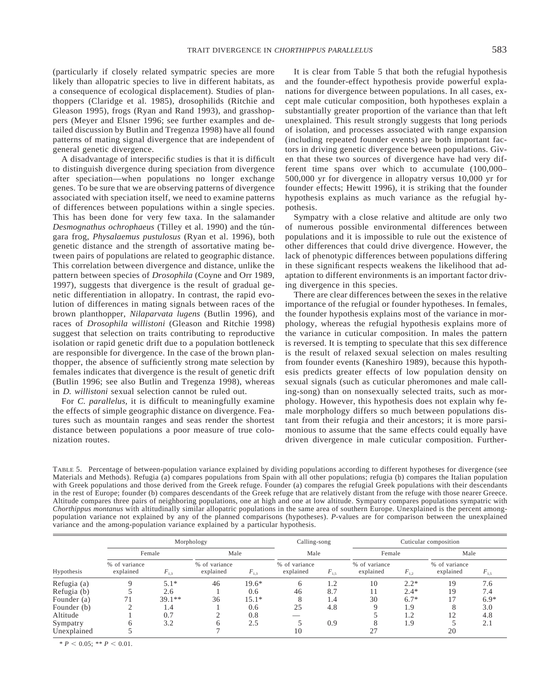(particularly if closely related sympatric species are more likely than allopatric species to live in different habitats, as a consequence of ecological displacement). Studies of planthoppers (Claridge et al. 1985), drosophilids (Ritchie and Gleason 1995), frogs (Ryan and Rand 1993), and grasshoppers (Meyer and Elsner 1996; see further examples and detailed discussion by Butlin and Tregenza 1998) have all found patterns of mating signal divergence that are independent of general genetic divergence.

A disadvantage of interspecific studies is that it is difficult to distinguish divergence during speciation from divergence after speciation—when populations no longer exchange genes. To be sure that we are observing patterns of divergence associated with speciation itself, we need to examine patterns of differences between populations within a single species. This has been done for very few taxa. In the salamander *Desmognathus ochrophaeus* (Tilley et al. 1990) and the túngara frog, *Physalaemus pustulosus* (Ryan et al. 1996), both genetic distance and the strength of assortative mating between pairs of populations are related to geographic distance. This correlation between divergence and distance, unlike the pattern between species of *Drosophila* (Coyne and Orr 1989, 1997), suggests that divergence is the result of gradual genetic differentiation in allopatry. In contrast, the rapid evolution of differences in mating signals between races of the brown planthopper, *Nilaparvata lugens* (Butlin 1996), and races of *Drosophila willistoni* (Gleason and Ritchie 1998) suggest that selection on traits contributing to reproductive isolation or rapid genetic drift due to a population bottleneck are responsible for divergence. In the case of the brown planthopper, the absence of sufficiently strong mate selection by females indicates that divergence is the result of genetic drift (Butlin 1996; see also Butlin and Tregenza 1998), whereas in *D. willistoni* sexual selection cannot be ruled out.

For *C. parallelus,* it is difficult to meaningfully examine the effects of simple geographic distance on divergence. Features such as mountain ranges and seas render the shortest distance between populations a poor measure of true colonization routes.

It is clear from Table 5 that both the refugial hypothesis and the founder-effect hypothesis provide powerful explanations for divergence between populations. In all cases, except male cuticular composition, both hypotheses explain a substantially greater proportion of the variance than that left unexplained. This result strongly suggests that long periods of isolation, and processes associated with range expansion (including repeated founder events) are both important factors in driving genetic divergence between populations. Given that these two sources of divergence have had very different time spans over which to accumulate (100,000– 500,000 yr for divergence in allopatry versus 10,000 yr for founder effects; Hewitt 1996), it is striking that the founder hypothesis explains as much variance as the refugial hypothesis.

Sympatry with a close relative and altitude are only two of numerous possible environmental differences between populations and it is impossible to rule out the existence of other differences that could drive divergence. However, the lack of phenotypic differences between populations differing in these significant respects weakens the likelihood that adaptation to different environments is an important factor driving divergence in this species.

There are clear differences between the sexes in the relative importance of the refugial or founder hypotheses. In females, the founder hypothesis explains most of the variance in morphology, whereas the refugial hypothesis explains more of the variance in cuticular composition. In males the pattern is reversed. It is tempting to speculate that this sex difference is the result of relaxed sexual selection on males resulting from founder events (Kaneshiro 1989), because this hypothesis predicts greater effects of low population density on sexual signals (such as cuticular pheromones and male calling-song) than on nonsexually selected traits, such as morphology. However, this hypothesis does not explain why female morphology differs so much between populations distant from their refugia and their ancestors; it is more parsimonious to assume that the same effects could equally have driven divergence in male cuticular composition. Further-

TABLE 5. Percentage of between-population variance explained by dividing populations according to different hypotheses for divergence (see Materials and Methods). Refugia (a) compares populations from Spain with all other populations; refugia (b) compares the Italian population with Greek populations and those derived from the Greek refuge. Founder (a) compares the refugial Greek populations with their descendants in the rest of Europe; founder (b) compares descendants of the Greek refuge that are relatively distant from the refuge with those nearer Greece. Altitude compares three pairs of neighboring populations, one at high and one at low altitude. Sympatry compares populations sympatric with *Chorthippus montanus* with altitudinally similar allopatric populations in the same area of southern Europe. Unexplained is the percent amongpopulation variance not explained by any of the planned comparisons (hypotheses). *P*-values are for comparison between the unexplained variance and the among-population variance explained by a particular hypothesis.

|             | Morphology                 |           |                            |           | Calling-song               |           |                            | Cuticular composition |                            |           |  |
|-------------|----------------------------|-----------|----------------------------|-----------|----------------------------|-----------|----------------------------|-----------------------|----------------------------|-----------|--|
|             | Female                     |           | Male                       |           | Male                       |           | Female                     |                       | Male                       |           |  |
| Hypothesis  | % of variance<br>explained | $F_{1,3}$ | % of variance<br>explained | $F_{1,3}$ | % of variance<br>explained | $F_{1,5}$ | % of variance<br>explained | $F_{1,2}$             | % of variance<br>explained | $F_{1,5}$ |  |
| Refugia (a) | $\Omega$                   | $5.1*$    | 46                         | $19.6*$   | <sub>6</sub>               | 1.2       | 10                         | $2.2*$                | 19                         | 7.6       |  |
| Refugia (b) |                            | 2.6       |                            | 0.6       | 46                         | 8.7       |                            | $2.4*$                | 19                         | 7.4       |  |
| Founder (a) | 71                         | $39.1**$  | 36                         | $15.1*$   | 8                          | 1.4       | 30                         | $6.7*$                |                            | $6.9*$    |  |
| Founder (b) |                            | l.4       |                            | 0.6       | 25                         | 4.8       |                            | 1.9                   | 8                          | 3.0       |  |
| Altitude    |                            | 0.7       |                            | 0.8       |                            |           |                            | 1.2                   | 12                         | 4.8       |  |
| Sympatry    | 6                          | 3.2       | h                          | 2.5       |                            | 0.9       |                            | 1.9                   |                            | 2.1       |  |
| Unexplained |                            |           |                            |           | 10                         |           | 27                         |                       | 20                         |           |  |

 $* P < 0.05; ** P < 0.01.$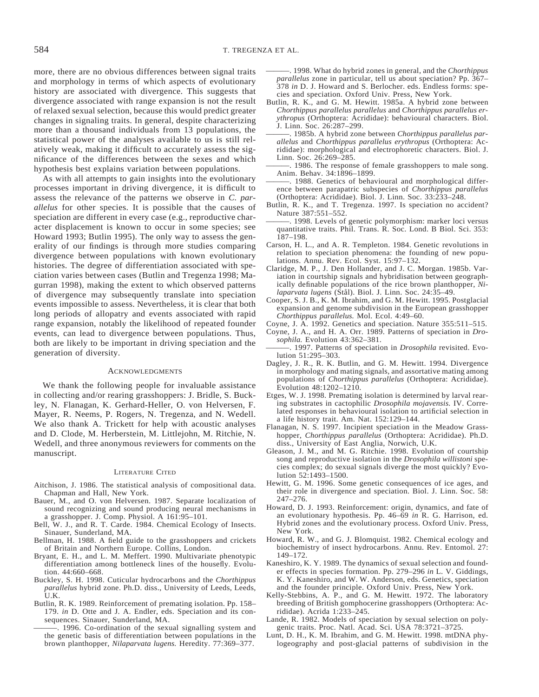more, there are no obvious differences between signal traits and morphology in terms of which aspects of evolutionary history are associated with divergence. This suggests that divergence associated with range expansion is not the result of relaxed sexual selection, because this would predict greater changes in signaling traits. In general, despite characterizing more than a thousand individuals from 13 populations, the statistical power of the analyses available to us is still relatively weak, making it difficult to accurately assess the significance of the differences between the sexes and which hypothesis best explains variation between populations.

As with all attempts to gain insights into the evolutionary processes important in driving divergence, it is difficult to assess the relevance of the patterns we observe in *C. parallelus* for other species. It is possible that the causes of speciation are different in every case (e.g., reproductive character displacement is known to occur in some species; see Howard 1993; Butlin 1995). The only way to assess the generality of our findings is through more studies comparing divergence between populations with known evolutionary histories. The degree of differentiation associated with speciation varies between cases (Butlin and Tregenza 1998; Magurran 1998), making the extent to which observed patterns of divergence may subsequently translate into speciation events impossible to assess. Nevertheless, it is clear that both long periods of allopatry and events associated with rapid range expansion, notably the likelihood of repeated founder events, can lead to divergence between populations. Thus, both are likely to be important in driving speciation and the generation of diversity.

#### **ACKNOWLEDGMENTS**

We thank the following people for invaluable assistance in collecting and/or rearing grasshoppers: J. Bridle, S. Buckley, N. Flanagan, K. Gerhard-Heller, O. von Helversen, F. Mayer, R. Neems, P. Rogers, N. Tregenza, and N. Wedell. We also thank A. Trickett for help with acoustic analyses and D. Clode, M. Herberstein, M. Littlejohn, M. Ritchie, N. Wedell, and three anonymous reviewers for comments on the manuscript.

#### LITERATURE CITED

- Aitchison, J. 1986. The statistical analysis of compositional data. Chapman and Hall, New York.
- Bauer, M., and O. von Helversen. 1987. Separate localization of sound recognizing and sound producing neural mechanisms in a grasshopper. J. Comp. Physiol. A 161:95–101.
- Bell, W. J., and R. T. Carde. 1984. Chemical Ecology of Insects. Sinauer, Sunderland, MA.
- Bellman, H. 1988. A field guide to the grasshoppers and crickets of Britain and Northern Europe. Collins, London.
- Bryant, E. H., and L. M. Meffert. 1990. Multivariate phenotypic differentiation among bottleneck lines of the housefly. Evolution. 44:660–668.
- Buckley, S. H. 1998. Cuticular hydrocarbons and the *Chorthippus parallelus* hybrid zone. Ph.D. diss., University of Leeds, Leeds, U.K.
- Butlin, R. K. 1989. Reinforcement of premating isolation. Pp. 158– 179. *in* D. Otte and J. A. Endler, eds. Speciation and its consequences. Sinauer, Sunderland, MA.
- ———. 1996. Co-ordination of the sexual signalling system and the genetic basis of differentiation between populations in the brown planthopper, *Nilaparvata lugens.* Heredity. 77:369–377.

———. 1998. What do hybrid zones in general, and the *Chorthippus parallelus* zone in particular, tell us about speciation? Pp. 367– 378 *in* D. J. Howard and S. Berlocher. eds. Endless forms: species and speciation. Oxford Univ. Press, New York.

- Butlin, R. K., and G. M. Hewitt. 1985a. A hybrid zone between *Chorthippus parallelus parallelus* and *Chorthippus parallelus erythropus* (Orthoptera: Acrididae): behavioural characters. Biol. J. Linn. Soc. 26:287–299.
- 1985b. A hybrid zone between *Chorthippus parallelus parallelus* and *Chorthippus parallelus erythropus* (Orthoptera: Acrididae): morphological and electrophoretic characters. Biol. J. Linn. Soc. 26:269–285.
- ———. 1986. The response of female grasshoppers to male song. Anim. Behav. 34:1896–1899.
- -. 1988. Genetics of behavioural and morphological difference between parapatric subspecies of *Chorthippus parallelus* (Orthoptera: Acrididae). Biol. J. Linn. Soc. 33:233–248.
- Butlin, R. K., and T. Tregenza. 1997. Is speciation no accident? Nature 387:551–552.
- -. 1998. Levels of genetic polymorphism: marker loci versus quantitative traits. Phil. Trans. R. Soc. Lond. B Biol. Sci. 353: 187–198.
- Carson, H. L., and A. R. Templeton. 1984. Genetic revolutions in relation to speciation phenomena: the founding of new populations. Annu. Rev. Ecol. Syst. 15:97–132.
- Claridge, M. P., J. Den Hollander, and J. C. Morgan. 1985b. Variation in courtship signals and hybridisation between geographically definable populations of the rice brown planthopper, *Ni*laparvata lugens (Stål). Biol. J. Linn. Soc. 24:35-49.
- Cooper, S. J. B., K. M. Ibrahim, and G. M. Hewitt. 1995. Postglacial expansion and genome subdivision in the European grasshopper *Chorthippus parallelus.* Mol. Ecol. 4:49–60.
- Coyne, J. A. 1992. Genetics and speciation. Nature 355:511–515. Coyne, J. A., and H. A. Orr. 1989. Patterns of speciation in *Dro-*
- *sophila.* Evolution 43:362–381.
- ———. 1997. Patterns of speciation in *Drosophila* revisited. Evolution 51:295–303.
- Dagley, J. R., R. K. Butlin, and G. M. Hewitt. 1994. Divergence in morphology and mating signals, and assortative mating among populations of *Chorthippus parallelus* (Orthoptera: Acrididae). Evolution 48:1202–1210.
- Etges, W. J. 1998. Premating isolation is determined by larval rearing substrates in cactophilic *Drosophila mojavensis.* IV. Correlated responses in behavioural isolation to artificial selection in a life history trait. Am. Nat. 152:129–144.
- Flanagan, N. S. 1997. Incipient speciation in the Meadow Grasshopper, *Chorthippus parallelus* (Orthoptera: Acrididae). Ph.D. diss., University of East Anglia, Norwich, U.K.
- Gleason, J. M., and M. G. Ritchie. 1998. Evolution of courtship song and reproductive isolation in the *Drosophila willistoni* species complex; do sexual signals diverge the most quickly? Evolution 52:1493–1500.
- Hewitt, G. M. 1996. Some genetic consequences of ice ages, and their role in divergence and speciation. Biol. J. Linn. Soc. 58: 247–276.
- Howard, D. J. 1993. Reinforcement: origin, dynamics, and fate of an evolutionary hypothesis. Pp. 46–69 *in* R. G. Harrison, ed. Hybrid zones and the evolutionary process. Oxford Univ. Press, New York.
- Howard, R. W., and G. J. Blomquist. 1982. Chemical ecology and biochemistry of insect hydrocarbons. Annu. Rev. Entomol. 27: 149–172.
- Kaneshiro, K. Y. 1989. The dynamics of sexual selection and founder effects in species formation. Pp. 279–296 *in* L. V. Giddings, K. Y. Kaneshiro, and W. W. Anderson, eds. Genetics, speciation and the founder principle. Oxford Univ. Press, New York.
- Kelly-Stebbins, A. P., and G. M. Hewitt. 1972. The laboratory breeding of British gomphocerine grasshoppers (Orthoptera: Acrididae). Acrida 1:233–245.
- Lande, R. 1982. Models of speciation by sexual selection on polygenic traits. Proc. Natl. Acad. Sci. USA 78:3721–3725.
- Lunt, D. H., K. M. Ibrahim, and G. M. Hewitt. 1998. mtDNA phylogeography and post-glacial patterns of subdivision in the